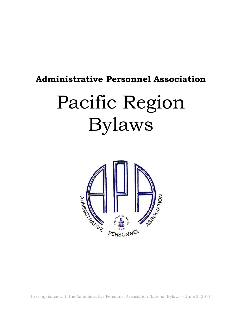# **Administrative Personnel Association**

# Pacific Region Bylaws



In compliance with the Administrative Personnel Association National Bylaws – June 2, 2017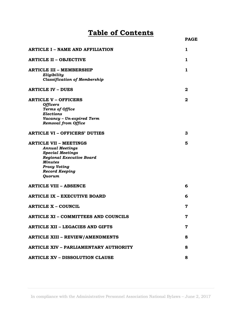# **Table of Contents**

| <b>ARTICLE I - NAME AND AFFILIATION</b>            | 1            |
|----------------------------------------------------|--------------|
| <b>ARTICLE II - OBJECTIVE</b>                      | 1            |
| <b>ARTICLE III - MEMBERSHIP</b>                    | 1            |
| Eligibility<br><b>Classification of Membership</b> |              |
| <b>ARTICLE IV - DUES</b>                           | 2            |
| <b>ARTICLE V - OFFICERS</b>                        | $\mathbf{2}$ |
| <b>Officers</b>                                    |              |
| <b>Terms of Office</b>                             |              |
| <b>Elections</b>                                   |              |
| Vacancy - Un-expired Term                          |              |
| <b>Removal from Office</b>                         |              |
|                                                    |              |
| <b>ARTICLE VI - OFFICERS' DUTIES</b>               | 3            |
| <b>ARTICLE VII - MEETINGS</b>                      | 5            |
| <b>Annual Meetings</b>                             |              |
| <b>Special Meetings</b>                            |              |
| <b>Regional Executive Board</b>                    |              |
| <b>Minutes</b>                                     |              |
|                                                    |              |
| <b>Proxy Voting</b>                                |              |
| <b>Record Keeping</b>                              |              |
| Quorum                                             |              |
| <b>ARTICLE VIII - ABSENCE</b>                      | 6            |
| <b>ARTICLE IX - EXECUTIVE BOARD</b>                | 6            |
| <b>ARTICLE X - COUNCIL</b>                         | 7            |
| <b>ARTICLE XI - COMMITTEES AND COUNCILS</b>        | 7            |
|                                                    |              |
| <b>ARTICLE XII - LEGACIES AND GIFTS</b>            | 7            |
| <b>ARTICLE XIII - REVIEW/AMENDMENTS</b>            | 8            |
| <b>ARTICLE XIV - PARLIAMENTARY AUTHORITY</b>       | 8            |
|                                                    |              |
| <b>ARTICLE XV - DISSOLUTION CLAUSE</b>             | 8            |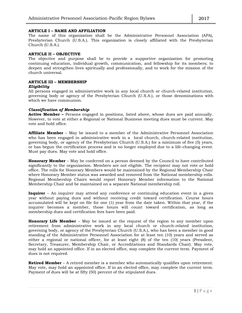#### **ARTICLE I – NAME AND AFFILIATION**

The name of this organization shall be the Administrative Personnel Association (APA), Presbyterian Church (U.S.A.). This organization is closely affiliated with the Presbyterian Church (U.S.A.).

#### **ARTICLE II – OBJECTIVE**

The objective and purpose shall be to provide a supportive organization for promoting continuing education, individual growth, communication, and fellowship for its members; to deepen and strengthen lives spiritually and professionally, and to work for the mission of the church universal.

#### **ARTICLE III – MEMBERSHIP**

#### *Eligibility*

All persons engaged in administrative work in any local church or church-related institution, governing body or agency of the Presbyterian Church (U.S.A.), or those denominations with which we have communion.

#### *Classification of Membership*

**Active Member –** Persons engaged in positions, listed above, whose dues are paid annually. However, to vote at either a Regional or National Business meeting dues must be current. May vote and hold office.

**Affiliate Member** – May be issued to a member of the Administrative Personnel Association who has been engaged in administrative work in a local church, church-related institution, governing body, or agency of the Presbyterian Church (U.S.A.) for a minimum of five (5) years, or has begun the certification process and is no longer employed due to a life-changing event. Must pay dues. May vote and hold office.

**Honorary Member** – May be conferred on a person deemed by the Council to have contributed significantly to the organization. Members are not eligible. The recipient may not vote or hold office. The rolls for Honorary Members would be maintained by the Regional Membership Chair where Honorary Member status was awarded and removed from the National membership rolls. Regional Membership Chairs would report Honorary Member information to the National Membership Chair and be maintained on a separate National membership roll.

**Inquirer** – An inquirer may attend any conference or continuing education event in a given year without paying dues and without receiving credit toward certification. Course hours accumulated will be kept on file for one (1) year from the date taken. Within that year, if the inquirer becomes a member, those hours will count toward certification, as long as membership dues and certification fees have been paid.

**Honorary Life Member** – May be issued at the request of the region to any member upon retirement from administrative work in any local church or church-related institution, governing body, or agency of the Presbyterian Church (U.S.A.), who has been a member in good standing of the Administrative Personnel Association for at least ten (10) years and served as either a regional or national officer, for at least eight (8) of the ten (10) years (President, Secretary, Treasurer, Membership Chair, or Accreditations and Standards Chair). May vote, may hold an appointed office. If in an elected office, may complete the current term. Payment of dues is not required.

**Retired Member** – A retired member is a member who automatically qualifies upon retirement. May vote, may hold an appointed office. If in an elected office, may complete the current term. Payment of dues will be at fifty (50) percent of the stipulated dues.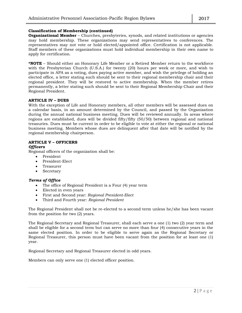#### **Classification of Membership (continued)**

**Organizational Member** – Churches, presbyteries, synods, and related institutions or agencies may hold membership. These organizations may send representatives to conferences. The representatives may not vote or hold elected/appointed office. Certification is not applicable. Staff members of these organizations must hold individual membership in their own name to apply for certification.

**\*NOTE** – Should either an Honorary Life Member or a Retired Member return to the workforce with the Presbyterian Church (U.S.A.) for twenty (20) hours per week or more, and wish to participate in APA as a voting, dues paying active member, and wish the privilege of holding an elected office, a letter stating such should be sent to their regional membership chair and their regional president. They will be restored to active membership. When the member retires permanently, a letter stating such should be sent to their Regional Membership Chair and their Regional President.

#### **ARTICLE IV – DUES**

With the exception of Life and Honorary members, all other members will be assessed dues on a calendar basis, in an amount determined by the Council, and passed by the Organization during the annual national business meeting. Dues will be reviewed annually. In areas where regions are established, dues will be divided fifty/fifty (50/50) between regional and national treasuries. Dues must be current in order to be eligible to vote at either the regional or national business meeting. Members whose dues are delinquent after that date will be notified by the regional membership chairperson.

# **ARTICLE V – OFFICERS**

#### *Officers*

Regional officers of the organization shall be:

- President
- President-Elect
- Treasurer
- Secretary

# *Terms of Office*

- The office of Regional President is a Four (4) year term
- Elected in even years
- First and Second year: *Regional President-Elect*
- Third and Fourth year: *Regional President*

The Regional President shall not be re-elected to a second term unless he/she has been vacant from the position for two (2) years.

The Regional Secretary and Regional Treasurer, shall each serve a one (1) two (2) year term and shall be eligible for a second term but can serve no more than four (4) consecutive years in the same elected position. In order to be eligible to serve again as the Regional Secretary or Regional Treasurer, this person must have been vacant from the position for at least one (1) year.

Regional Secretary and Regional Treasurer elected in odd years.

Members can only serve one (1) elected officer position.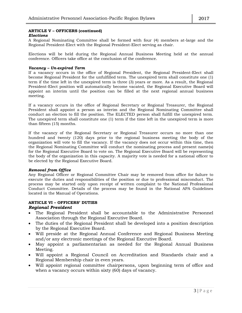# **ARTICLE V – OFFICERS (continued)**

# *Elections*

A Regional Nominating Committee shall be formed with four (4) members at-large and the Regional President-Elect with the Regional President-Elect serving as chair.

Elections will be held during the Regional Annual Business Meeting held at the annual conference. Officers take office at the conclusion of the conference.

# *Vacancy – Un-expired Term*

If a vacancy occurs in the office of Regional President, the Regional President-Elect shall become Regional President for the unfulfilled term. The unexpired term shall constitute one (1) term if the time left in the unexpired term is three (3) years or more. As a result, the Regional President-Elect position will automatically become vacated, the Regional Executive Board will appoint an interim until the position can be filled at the next regional annual business meeting.

If a vacancy occurs in the office of Regional Secretary or Regional Treasurer, the Regional President shall appoint a person as interim and the Regional Nominating Committee shall conduct an election to fill the position. The ELECTED person shall fulfill the unexpired term. The unexpired term shall constitute one (1) term if the time left in the unexpired term is more than fifteen (15) months.

If the vacancy of the Regional Secretary or Regional Treasurer occurs no more than one hundred and twenty (120) days prior to the regional business meeting the body of the organization will vote to fill the vacancy. If the vacancy does not occur within this time, then the Regional Nominating Committee will conduct the nominating process and present name(s) for the Regional Executive Board to vote on. The Regional Executive Board will be representing the body of the organization in this capacity. A majority vote is needed for a national officer to be elected by the Regional Executive Board.

# *Removal from Office*

Any Regional Officer or Regional Committee Chair may be removed from office for failure to execute the duties and responsibilities of the position or due to professional misconduct. The process may be started only upon receipt of written complaint to the National Professional Conduct Committee. Details of the process may be found in the National APA Guidelines located in the Manual of Operations.

#### **ARTICLE VI – OFFICERS' DUTIES**  *Regional President*

- The Regional President shall be accountable to the Administrative Personnel Association through the Regional Executive Board.
- The duties of the Regional President shall be developed into a position description by the Regional Executive Board.
- Will preside at the Regional Annual Conference and Regional Business Meeting and/or any electronic meetings of the Regional Executive Board.
- May appoint a parliamentarian as needed for the Regional Annual Business Meeting.
- Will appoint a Regional Council on Accreditation and Standards chair and a Regional Membership chair in even years.
- Will appoint regional committee chairpersons, upon beginning term of office and when a vacancy occurs within sixty (60) days of vacancy.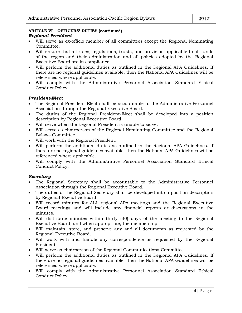# **ARTICLE VI – OFFICERS' DUTIES (continued)** *Regional President*

- Will serve as ex-officio member of all committees except the Regional Nominating Committee.
- Will ensure that all rules, regulations, trusts, and provision applicable to all funds of the region and their administration and all policies adopted by the Regional Executive Board are in compliance.
- Will perform the additional duties as outlined in the Regional APA Guidelines. If there are no regional guidelines available, then the National APA Guidelines will be referenced where applicable.
- Will comply with the Administrative Personnel Association Standard Ethical Conduct Policy.

# *President-Elect*

- The Regional President-Elect shall be accountable to the Administrative Personnel Association through the Regional Executive Board.
- The duties of the Regional President-Elect shall be developed into a position description by Regional Executive Board.
- Will serve when the Regional President is unable to serve.
- Will serve as chairperson of the Regional Nominating Committee and the Regional Bylaws Committee.
- Will work with the Regional President.
- Will perform the additional duties as outlined in the Regional APA Guidelines. If there are no regional guidelines available, then the National APA Guidelines will be referenced where applicable.
- Will comply with the Administrative Personnel Association Standard Ethical Conduct Policy.

# *Secretary*

- The Regional Secretary shall be accountable to the Administrative Personnel Association through the Regional Executive Board.
- The duties of the Regional Secretary shall be developed into a position description by Regional Executive Board.
- Will record minutes for ALL regional APA meetings and the Regional Executive Board meetings and will include any financial reports or discussions in the minutes.
- Will distribute minutes within thirty (30) days of the meeting to the Regional Executive Board, and when appropriate, the membership.
- Will maintain, store, and preserve any and all documents as requested by the Regional Executive Board.
- Will work with and handle any correspondence as requested by the Regional President.
- Will serve as chairperson of the Regional Communications Committee.
- Will perform the additional duties as outlined in the Regional APA Guidelines. If there are no regional guidelines available, then the National APA Guidelines will be referenced where applicable.
- Will comply with the Administrative Personnel Association Standard Ethical Conduct Policy.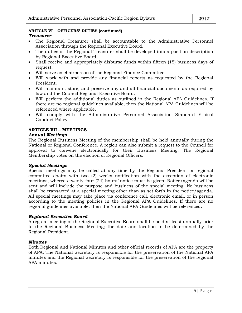# **ARTICLE VI – OFFICERS' DUTIES (continued)** *Treasurer*

- The Regional Treasurer shall be accountable to the Administrative Personnel Association through the Regional Executive Board.
- The duties of the Regional Treasurer shall be developed into a position description by Regional Executive Board.
- Shall receive and appropriately disburse funds within fifteen (15) business days of request.
- Will serve as chairperson of the Regional Finance Committee.
- Will work with and provide any financial reports as requested by the Regional President.
- Will maintain, store, and preserve any and all financial documents as required by law and the Council Regional Executive Board.
- Will perform the additional duties as outlined in the Regional APA Guidelines. If there are no regional guidelines available, then the National APA Guidelines will be referenced where applicable.
- Will comply with the Administrative Personnel Association Standard Ethical Conduct Policy.

# **ARTICLE VII – MEETINGS** *Annual Meetings*

The Regional Business Meeting of the membership shall be held annually during the National or Regional Conference. A region can also submit a request to the Council for approval to convene electronically for their Business Meeting. The Regional Membership votes on the election of Regional Officers.

# *Special Meetings*

Special meetings may be called at any time by the Regional President or regional committee chairs with two (2) weeks notification with the exception of electronic meetings, whereas twenty-four (24) hours' notice must be given. Notice/agenda will be sent and will include the purpose and business of the special meeting. No business shall be transacted at a special meeting other than as set forth in the notice/agenda. All special meetings may take place via conference call, electronic email, or in person according to the meeting policies in the Regional APA Guidelines. If there are no regional guidelines available, then the National APA Guidelines will be referenced.

# *Regional Executive Board*

A regular meeting of the Regional Executive Board shall be held at least annually prior to the Regional Business Meeting; the date and location to be determined by the Regional President.

# *Minutes*

Both Regional and National Minutes and other official records of APA are the property of APA. The National Secretary is responsible for the preservation of the National APA minutes and the Regional Secretary is responsible for the preservation of the regional APA minutes.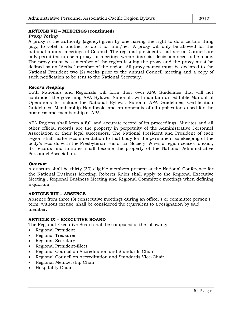#### **ARTICLE VII – MEETINGS (continued)** *Proxy Voting*

A proxy is the authority (agency) given by one having the right to do a certain thing (e.g., to vote) to another to do it for him/her. A proxy will only be allowed for the national annual meetings of Council. The regional presidents that are on Council are only permitted to use a proxy for meetings where financial decisions need to be made. The proxy must be a member of the region issuing the proxy and the proxy must be defined as an "Active" member of the region. All proxy names must be declared to the National President two (2) weeks prior to the annual Council meeting and a copy of such notification to be sent to the National Secretary.

# *Record Keeping*

Both Nationals and Regionals will form their own APA Guidelines that will not contradict the governing APA Bylaws. Nationals will maintain an editable Manual of Operations to include the National Bylaws, National APA Guidelines, Certification Guidelines, Membership Handbook, and an appendix of all applications used for the business and membership of APA.

APA Regions shall keep a full and accurate record of its proceedings. Minutes and all other official records are the property in perpetuity of the Administrative Personnel Association or their legal successors. The National President and President of each region shall make recommendation to that body for the permanent safekeeping of the body's records with the Presbyterian Historical Society. When a region ceases to exist, its records and minutes shall become the property of the National Administrative Personnel Association.

# *Quorum*

A quorum shall be thirty (30) eligible members present at the National Conference for the National Business Meeting. Roberts Rules shall apply to the Regional Executive Meeting , Regional Business Meeting and Regional Committee meetings when defining a quorum.

# **ARTICLE VIII – ABSENCE**

Absence from three (3) consecutive meetings during an officer's or committee person's term, without excuse, shall be considered the equivalent to a resignation by said member.

# **ARTICLE IX – EXECUTIVE BOARD**

The Regional Executive Board shall be composed of the following:

- Regional President
- Regional Treasurer
- Regional Secretary
- Regional President-Elect
- Regional Council on Accreditation and Standards Chair
- Regional Council on Accreditation and Standards Vice-Chair
- Regional Membership Chair
- Hospitality Chair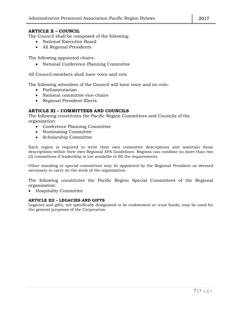# **ARTICLE X – COUNCIL**

The Council shall be composed of the following:

- National Executive Board
- All Regional Presidents

The following appointed chairs:

National Conference Planning Committee

All Council members shall have voice and vote.

The following attendees of the Council will have voice and no vote:

- Parliamentarian
- National committee vice-chairs
- Regional President-Elects

# **ARTICLE XI – COMMITTEES AND COUNCILS**

The following constitutes the Pacific Region Committees and Councils of the organization:

- Conference Planning Committee
- Nominating Committee
- Scholarship Committee

Each region is required to write their own committee descriptions and maintain those descriptions within their own Regional APA Guidelines. Regions can combine no more than two (2) committees if leadership is not available to fill the requirements.

Other standing or special committees may be appointed by the Regional President as deemed necessary to carry on the work of the organization.

The following constitutes the Pacific Region Special Committees of the Regional organization:

Hospitality Committee

# **ARTICLE XII – LEGACIES AND GIFTS**

Legacies and gifts, not specifically designated to be endowment or trust funds, may be used for the general purposes of the Corporation.